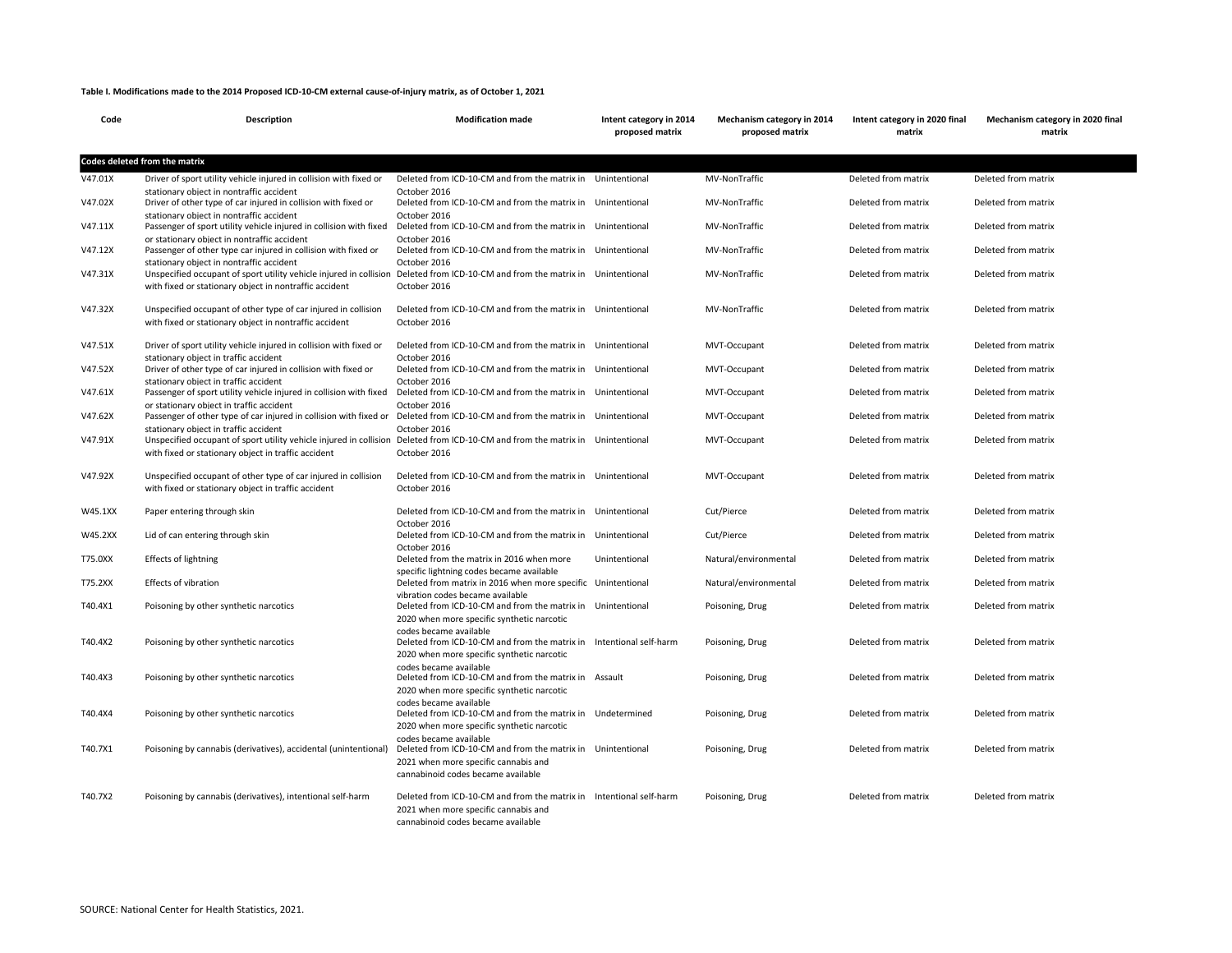## **Table I. Modifications made to the 2014 Proposed ICD-10-CM external cause-of-injury matrix, as of October 1, 2021**

| Code    | Description                                                                                                                                                                                                                    | <b>Modification made</b>                                                                                                                                                                | Intent category in 2014<br>proposed matrix | Mechanism category in 2014<br>proposed matrix | Intent category in 2020 final<br>matrix | Mechanism category in 2020 final<br>matrix |
|---------|--------------------------------------------------------------------------------------------------------------------------------------------------------------------------------------------------------------------------------|-----------------------------------------------------------------------------------------------------------------------------------------------------------------------------------------|--------------------------------------------|-----------------------------------------------|-----------------------------------------|--------------------------------------------|
|         | Codes deleted from the matrix                                                                                                                                                                                                  |                                                                                                                                                                                         |                                            |                                               |                                         |                                            |
| V47.01X | Driver of sport utility vehicle injured in collision with fixed or<br>stationary object in nontraffic accident                                                                                                                 | Deleted from ICD-10-CM and from the matrix in Unintentional<br>October 2016                                                                                                             |                                            | MV-NonTraffic                                 | Deleted from matrix                     | Deleted from matrix                        |
| V47.02X | Driver of other type of car injured in collision with fixed or<br>stationary object in nontraffic accident                                                                                                                     | Deleted from ICD-10-CM and from the matrix in Unintentional<br>October 2016                                                                                                             |                                            | MV-NonTraffic                                 | Deleted from matrix                     | Deleted from matrix                        |
| V47.11X | Passenger of sport utility vehicle injured in collision with fixed<br>or stationary object in nontraffic accident                                                                                                              | Deleted from ICD-10-CM and from the matrix in Unintentional<br>October 2016                                                                                                             |                                            | MV-NonTraffic                                 | Deleted from matrix                     | Deleted from matrix                        |
| V47.12X | Passenger of other type car injured in collision with fixed or                                                                                                                                                                 | Deleted from ICD-10-CM and from the matrix in Unintentional<br>October 2016                                                                                                             |                                            | MV-NonTraffic                                 | Deleted from matrix                     | Deleted from matrix                        |
| V47.31X | stationary object in nontraffic accident<br>Unspecified occupant of sport utility vehicle injured in collision<br>with fixed or stationary object in nontraffic accident                                                       | Deleted from ICD-10-CM and from the matrix in Unintentional<br>October 2016                                                                                                             |                                            | MV-NonTraffic                                 | Deleted from matrix                     | Deleted from matrix                        |
| V47.32X | Unspecified occupant of other type of car injured in collision<br>with fixed or stationary object in nontraffic accident                                                                                                       | Deleted from ICD-10-CM and from the matrix in Unintentional<br>October 2016                                                                                                             |                                            | <b>MV-NonTraffic</b>                          | Deleted from matrix                     | Deleted from matrix                        |
| V47.51X | Driver of sport utility vehicle injured in collision with fixed or<br>stationary object in traffic accident                                                                                                                    | Deleted from ICD-10-CM and from the matrix in Unintentional<br>October 2016                                                                                                             |                                            | MVT-Occupant                                  | Deleted from matrix                     | Deleted from matrix                        |
| V47.52X | Driver of other type of car injured in collision with fixed or                                                                                                                                                                 | Deleted from ICD-10-CM and from the matrix in Unintentional<br>October 2016                                                                                                             |                                            | MVT-Occupant                                  | Deleted from matrix                     | Deleted from matrix                        |
| V47.61X | stationary object in traffic accident<br>Passenger of sport utility vehicle injured in collision with fixed<br>or stationary object in traffic accident                                                                        | Deleted from ICD-10-CM and from the matrix in Unintentional<br>October 2016                                                                                                             |                                            | MVT-Occupant                                  | Deleted from matrix                     | Deleted from matrix                        |
| V47.62X | Passenger of other type of car injured in collision with fixed or Deleted from ICD-10-CM and from the matrix in Unintentional                                                                                                  | October 2016                                                                                                                                                                            |                                            | MVT-Occupant                                  | Deleted from matrix                     | Deleted from matrix                        |
| V47.91X | stationary object in traffic accident<br>Unspecified occupant of sport utility vehicle injured in collision Deleted from ICD-10-CM and from the matrix in Unintentional<br>with fixed or stationary object in traffic accident | October 2016                                                                                                                                                                            |                                            | MVT-Occupant                                  | Deleted from matrix                     | Deleted from matrix                        |
| V47.92X | Unspecified occupant of other type of car injured in collision<br>with fixed or stationary object in traffic accident                                                                                                          | Deleted from ICD-10-CM and from the matrix in Unintentional<br>October 2016                                                                                                             |                                            | MVT-Occupant                                  | Deleted from matrix                     | Deleted from matrix                        |
| W45.1XX | Paper entering through skin                                                                                                                                                                                                    | Deleted from ICD-10-CM and from the matrix in Unintentional<br>October 2016                                                                                                             |                                            | Cut/Pierce                                    | Deleted from matrix                     | Deleted from matrix                        |
| W45.2XX | Lid of can entering through skin                                                                                                                                                                                               | Deleted from ICD-10-CM and from the matrix in Unintentional<br>October 2016                                                                                                             |                                            | Cut/Pierce                                    | Deleted from matrix                     | Deleted from matrix                        |
| T75.0XX | Effects of lightning                                                                                                                                                                                                           | Deleted from the matrix in 2016 when more<br>specific lightning codes became available                                                                                                  | Unintentional                              | Natural/environmental                         | Deleted from matrix                     | Deleted from matrix                        |
| T75.2XX | Effects of vibration                                                                                                                                                                                                           | Deleted from matrix in 2016 when more specific Unintentional                                                                                                                            |                                            | Natural/environmental                         | Deleted from matrix                     | Deleted from matrix                        |
| T40.4X1 | Poisoning by other synthetic narcotics                                                                                                                                                                                         | vibration codes became available<br>Deleted from ICD-10-CM and from the matrix in Unintentional<br>2020 when more specific synthetic narcotic                                           |                                            | Poisoning, Drug                               | Deleted from matrix                     | Deleted from matrix                        |
| T40.4X2 | Poisoning by other synthetic narcotics                                                                                                                                                                                         | codes became available<br>Deleted from ICD-10-CM and from the matrix in Intentional self-harm<br>2020 when more specific synthetic narcotic                                             |                                            | Poisoning, Drug                               | Deleted from matrix                     | Deleted from matrix                        |
| T40.4X3 | Poisoning by other synthetic narcotics                                                                                                                                                                                         | codes became available<br>Deleted from ICD-10-CM and from the matrix in Assault<br>2020 when more specific synthetic narcotic                                                           |                                            | Poisoning, Drug                               | Deleted from matrix                     | Deleted from matrix                        |
| T40.4X4 | Poisoning by other synthetic narcotics                                                                                                                                                                                         | codes became available<br>Deleted from ICD-10-CM and from the matrix in Undetermined<br>2020 when more specific synthetic narcotic                                                      |                                            | Poisoning, Drug                               | Deleted from matrix                     | Deleted from matrix                        |
| T40.7X1 | Poisoning by cannabis (derivatives), accidental (unintentional)                                                                                                                                                                | codes became available<br>Deleted from ICD-10-CM and from the matrix in Unintentional<br>2021 when more specific cannabis and                                                           |                                            | Poisoning, Drug                               | Deleted from matrix                     | Deleted from matrix                        |
| T40.7X2 | Poisoning by cannabis (derivatives), intentional self-harm                                                                                                                                                                     | cannabinoid codes became available<br>Deleted from ICD-10-CM and from the matrix in Intentional self-harm<br>2021 when more specific cannabis and<br>cannabinoid codes became available |                                            | Poisoning, Drug                               | Deleted from matrix                     | Deleted from matrix                        |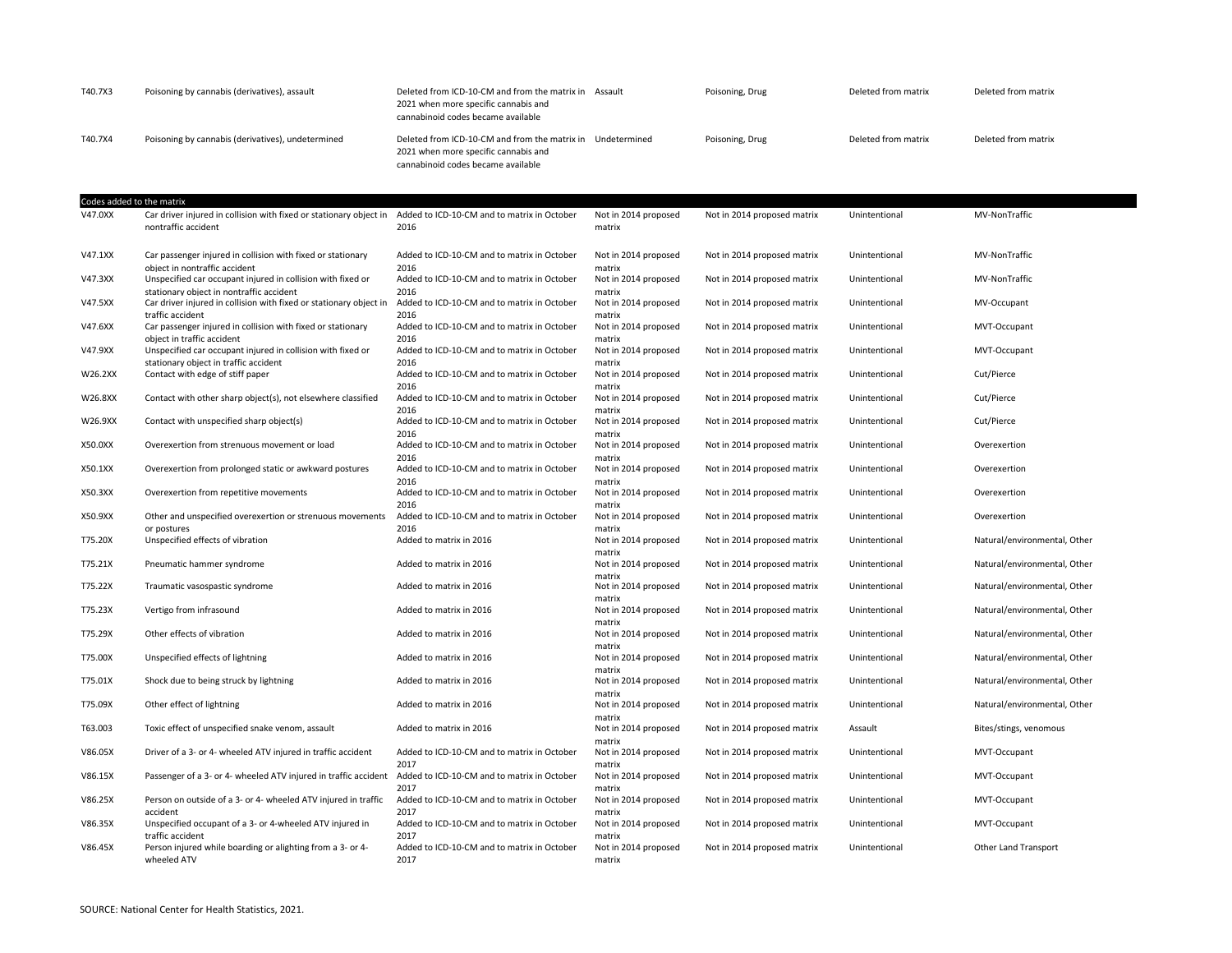| T40.7X3                   | Poisoning by cannabis (derivatives), assault                                                                                       | Deleted from ICD-10-CM and from the matrix in Assault<br>2021 when more specific cannabis and<br>cannabinoid codes became available      |                                          | Poisoning, Drug             | Deleted from matrix | Deleted from matrix          |
|---------------------------|------------------------------------------------------------------------------------------------------------------------------------|------------------------------------------------------------------------------------------------------------------------------------------|------------------------------------------|-----------------------------|---------------------|------------------------------|
| T40.7X4                   | Poisoning by cannabis (derivatives), undetermined                                                                                  | Deleted from ICD-10-CM and from the matrix in Undetermined<br>2021 when more specific cannabis and<br>cannabinoid codes became available |                                          | Poisoning, Drug             | Deleted from matrix | Deleted from matrix          |
| Codes added to the matrix |                                                                                                                                    |                                                                                                                                          |                                          |                             |                     |                              |
| V47.0XX                   | Car driver injured in collision with fixed or stationary object in<br>nontraffic accident                                          | Added to ICD-10-CM and to matrix in October<br>2016                                                                                      | Not in 2014 proposed<br>matrix           | Not in 2014 proposed matrix | Unintentional       | MV-NonTraffic                |
| V47.1XX                   | Car passenger injured in collision with fixed or stationary<br>object in nontraffic accident                                       | Added to ICD-10-CM and to matrix in October<br>2016                                                                                      | Not in 2014 proposed<br>matrix           | Not in 2014 proposed matrix | Unintentional       | MV-NonTraffic                |
| V47.3XX                   | Unspecified car occupant injured in collision with fixed or                                                                        | Added to ICD-10-CM and to matrix in October                                                                                              | Not in 2014 proposed                     | Not in 2014 proposed matrix | Unintentional       | MV-NonTraffic                |
| V47.5XX                   | stationary object in nontraffic accident<br>Car driver injured in collision with fixed or stationary object in<br>traffic accident | 2016<br>Added to ICD-10-CM and to matrix in October<br>2016                                                                              | matrix<br>Not in 2014 proposed<br>matrix | Not in 2014 proposed matrix | Unintentional       | MV-Occupant                  |
| V47.6XX                   | Car passenger injured in collision with fixed or stationary<br>obiect in traffic accident                                          | Added to ICD-10-CM and to matrix in October<br>2016                                                                                      | Not in 2014 proposed<br>matrix           | Not in 2014 proposed matrix | Unintentional       | MVT-Occupant                 |
| V47.9XX                   | Unspecified car occupant injured in collision with fixed or                                                                        | Added to ICD-10-CM and to matrix in October                                                                                              | Not in 2014 proposed                     | Not in 2014 proposed matrix | Unintentional       | MVT-Occupant                 |
| W26.2XX                   | stationary object in traffic accident<br>Contact with edge of stiff paper                                                          | 2016<br>Added to ICD-10-CM and to matrix in October<br>2016                                                                              | matrix<br>Not in 2014 proposed<br>matrix | Not in 2014 proposed matrix | Unintentional       | Cut/Pierce                   |
| W26.8XX                   | Contact with other sharp object(s), not elsewhere classified                                                                       | Added to ICD-10-CM and to matrix in October                                                                                              | Not in 2014 proposed                     | Not in 2014 proposed matrix | Unintentional       | Cut/Pierce                   |
| W26.9XX                   | Contact with unspecified sharp object(s)                                                                                           | 2016<br>Added to ICD-10-CM and to matrix in October<br>2016                                                                              | matrix<br>Not in 2014 proposed<br>matrix | Not in 2014 proposed matrix | Unintentional       | Cut/Pierce                   |
| X50.0XX                   | Overexertion from strenuous movement or load                                                                                       | Added to ICD-10-CM and to matrix in October                                                                                              | Not in 2014 proposed                     | Not in 2014 proposed matrix | Unintentional       | Overexertion                 |
| X50.1XX                   | Overexertion from prolonged static or awkward postures                                                                             | 2016<br>Added to ICD-10-CM and to matrix in October<br>2016                                                                              | matrix<br>Not in 2014 proposed<br>matrix | Not in 2014 proposed matrix | Unintentional       | Overexertion                 |
| X50.3XX                   | Overexertion from repetitive movements                                                                                             | Added to ICD-10-CM and to matrix in October                                                                                              | Not in 2014 proposed                     | Not in 2014 proposed matrix | Unintentional       | Overexertion                 |
| X50.9XX                   | Other and unspecified overexertion or strenuous movements<br>or postures                                                           | 2016<br>Added to ICD-10-CM and to matrix in October<br>2016                                                                              | matrix<br>Not in 2014 proposed<br>matrix | Not in 2014 proposed matrix | Unintentional       | Overexertion                 |
| T75.20X                   | Unspecified effects of vibration                                                                                                   | Added to matrix in 2016                                                                                                                  | Not in 2014 proposed                     | Not in 2014 proposed matrix | Unintentional       | Natural/environmental, Other |
| T75.21X                   | Pneumatic hammer syndrome                                                                                                          | Added to matrix in 2016                                                                                                                  | matrix<br>Not in 2014 proposed<br>matrix | Not in 2014 proposed matrix | Unintentional       | Natural/environmental, Other |
| T75.22X                   | Traumatic vasospastic syndrome                                                                                                     | Added to matrix in 2016                                                                                                                  | Not in 2014 proposed<br>matrix           | Not in 2014 proposed matrix | Unintentional       | Natural/environmental, Other |
| T75.23X                   | Vertigo from infrasound                                                                                                            | Added to matrix in 2016                                                                                                                  | Not in 2014 proposed                     | Not in 2014 proposed matrix | Unintentional       | Natural/environmental, Other |
| T75.29X                   | Other effects of vibration                                                                                                         | Added to matrix in 2016                                                                                                                  | matrix<br>Not in 2014 proposed<br>matrix | Not in 2014 proposed matrix | Unintentional       | Natural/environmental, Other |
| T75.00X                   | Unspecified effects of lightning                                                                                                   | Added to matrix in 2016                                                                                                                  | Not in 2014 proposed<br>matrix           | Not in 2014 proposed matrix | Unintentional       | Natural/environmental, Other |
| T75.01X                   | Shock due to being struck by lightning                                                                                             | Added to matrix in 2016                                                                                                                  | Not in 2014 proposed<br>matrix           | Not in 2014 proposed matrix | Unintentional       | Natural/environmental, Other |
| T75.09X                   | Other effect of lightning                                                                                                          | Added to matrix in 2016                                                                                                                  | Not in 2014 proposed                     | Not in 2014 proposed matrix | Unintentional       | Natural/environmental, Other |
| T63.003                   | Toxic effect of unspecified snake venom, assault                                                                                   | Added to matrix in 2016                                                                                                                  | matrix<br>Not in 2014 proposed<br>matrix | Not in 2014 proposed matrix | Assault             | Bites/stings, venomous       |
| V86.05X                   | Driver of a 3- or 4- wheeled ATV injured in traffic accident                                                                       | Added to ICD-10-CM and to matrix in October<br>2017                                                                                      | Not in 2014 proposed<br>matrix           | Not in 2014 proposed matrix | Unintentional       | MVT-Occupant                 |
| V86.15X                   | Passenger of a 3- or 4- wheeled ATV injured in traffic accident                                                                    | Added to ICD-10-CM and to matrix in October<br>2017                                                                                      | Not in 2014 proposed<br>matrix           | Not in 2014 proposed matrix | Unintentional       | MVT-Occupant                 |
| V86.25X                   | Person on outside of a 3- or 4- wheeled ATV injured in traffic<br>accident                                                         | Added to ICD-10-CM and to matrix in October<br>2017                                                                                      | Not in 2014 proposed<br>matrix           | Not in 2014 proposed matrix | Unintentional       | MVT-Occupant                 |
| V86.35X                   | Unspecified occupant of a 3- or 4-wheeled ATV injured in<br>traffic accident                                                       | Added to ICD-10-CM and to matrix in October<br>2017                                                                                      | Not in 2014 proposed<br>matrix           | Not in 2014 proposed matrix | Unintentional       | MVT-Occupant                 |
| V86.45X                   | Person injured while boarding or alighting from a 3- or 4-<br>wheeled ATV                                                          | Added to ICD-10-CM and to matrix in October<br>2017                                                                                      | Not in 2014 proposed<br>matrix           | Not in 2014 proposed matrix | Unintentional       | Other Land Transport         |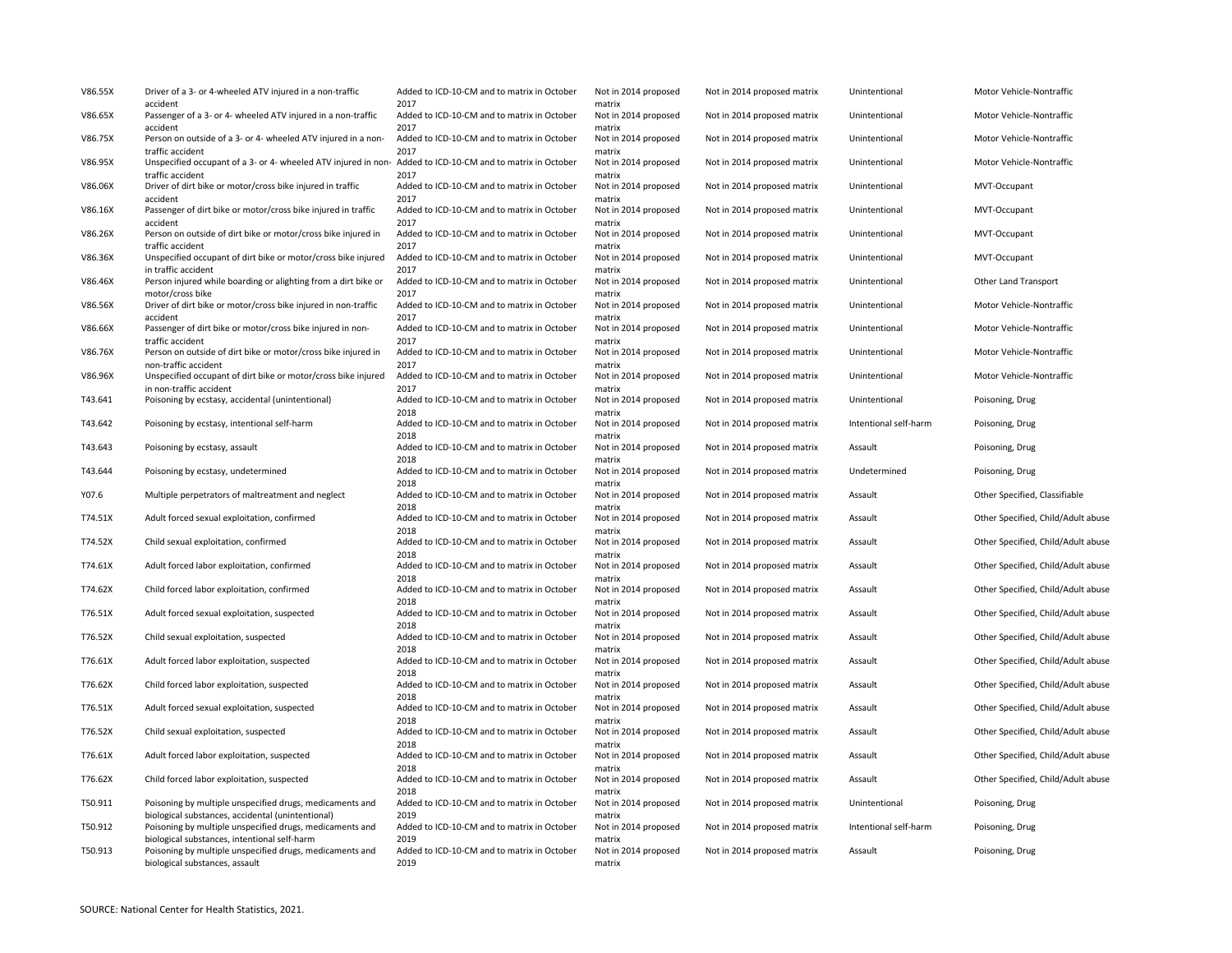| V86.55X | Driver of a 3- or 4-wheeled ATV injured in a non-traffic                                                                       | Added to ICD-10-CM and to matrix in October                 | Not in 2014 proposed                     | Not in 2014 proposed matrix | Unintentional         | Motor Vehicle-Nontraffic           |
|---------|--------------------------------------------------------------------------------------------------------------------------------|-------------------------------------------------------------|------------------------------------------|-----------------------------|-----------------------|------------------------------------|
| V86.65X | accident<br>Passenger of a 3- or 4- wheeled ATV injured in a non-traffic<br>accident                                           | 2017<br>Added to ICD-10-CM and to matrix in October<br>2017 | matrix<br>Not in 2014 proposed<br>matrix | Not in 2014 proposed matrix | Unintentional         | Motor Vehicle-Nontraffic           |
| V86.75X | Person on outside of a 3- or 4- wheeled ATV injured in a non-<br>traffic accident                                              | Added to ICD-10-CM and to matrix in October<br>2017         | Not in 2014 proposed<br>matrix           | Not in 2014 proposed matrix | Unintentional         | Motor Vehicle-Nontraffic           |
| V86.95X | Unspecified occupant of a 3- or 4- wheeled ATV injured in non- Added to ICD-10-CM and to matrix in October<br>traffic accident | 2017                                                        | Not in 2014 proposed<br>matrix           | Not in 2014 proposed matrix | Unintentional         | Motor Vehicle-Nontraffic           |
| V86.06X | Driver of dirt bike or motor/cross bike injured in traffic<br>accident                                                         | Added to ICD-10-CM and to matrix in October<br>2017         | Not in 2014 proposed<br>matrix           | Not in 2014 proposed matrix | Unintentional         | MVT-Occupant                       |
| V86.16X | Passenger of dirt bike or motor/cross bike injured in traffic<br>accident                                                      | Added to ICD-10-CM and to matrix in October<br>2017         | Not in 2014 proposed<br>matrix           | Not in 2014 proposed matrix | Unintentional         | MVT-Occupant                       |
| V86.26X | Person on outside of dirt bike or motor/cross bike injured in<br>traffic accident                                              | Added to ICD-10-CM and to matrix in October<br>2017         | Not in 2014 proposed<br>matrix           | Not in 2014 proposed matrix | Unintentional         | MVT-Occupant                       |
| V86.36X | Unspecified occupant of dirt bike or motor/cross bike injured<br>in traffic accident                                           | Added to ICD-10-CM and to matrix in October<br>2017         | Not in 2014 proposed<br>matrix           | Not in 2014 proposed matrix | Unintentional         | MVT-Occupant                       |
| V86.46X | Person injured while boarding or alighting from a dirt bike or<br>motor/cross bike                                             | Added to ICD-10-CM and to matrix in October<br>2017         | Not in 2014 proposed<br>matrix           | Not in 2014 proposed matrix | Unintentional         | Other Land Transport               |
| V86.56X | Driver of dirt bike or motor/cross bike injured in non-traffic<br>accident                                                     | Added to ICD-10-CM and to matrix in October<br>2017         | Not in 2014 proposed<br>matrix           | Not in 2014 proposed matrix | Unintentional         | Motor Vehicle-Nontraffic           |
| V86.66X | Passenger of dirt bike or motor/cross bike injured in non-<br>traffic accident                                                 | Added to ICD-10-CM and to matrix in October<br>2017         | Not in 2014 proposed<br>matrix           | Not in 2014 proposed matrix | Unintentional         | Motor Vehicle-Nontraffic           |
| V86.76X | Person on outside of dirt bike or motor/cross bike injured in<br>non-traffic accident                                          | Added to ICD-10-CM and to matrix in October<br>2017         | Not in 2014 proposed<br>matrix           | Not in 2014 proposed matrix | Unintentional         | Motor Vehicle-Nontraffic           |
| V86.96X | Unspecified occupant of dirt bike or motor/cross bike injured<br>in non-traffic accident                                       | Added to ICD-10-CM and to matrix in October<br>2017         | Not in 2014 proposed<br>matrix           | Not in 2014 proposed matrix | Unintentional         | Motor Vehicle-Nontraffic           |
| T43.641 | Poisoning by ecstasy, accidental (unintentional)                                                                               | Added to ICD-10-CM and to matrix in October<br>2018         | Not in 2014 proposed<br>matrix           | Not in 2014 proposed matrix | Unintentional         | Poisoning, Drug                    |
| T43.642 | Poisoning by ecstasy, intentional self-harm                                                                                    | Added to ICD-10-CM and to matrix in October<br>2018         | Not in 2014 proposed<br>matrix           | Not in 2014 proposed matrix | Intentional self-harm | Poisoning, Drug                    |
| T43.643 | Poisoning by ecstasy, assault                                                                                                  | Added to ICD-10-CM and to matrix in October<br>2018         | Not in 2014 proposed<br>matrix           | Not in 2014 proposed matrix | Assault               | Poisoning, Drug                    |
| T43.644 | Poisoning by ecstasy, undetermined                                                                                             | Added to ICD-10-CM and to matrix in October<br>2018         | Not in 2014 proposed<br>matrix           | Not in 2014 proposed matrix | Undetermined          | Poisoning, Drug                    |
| Y07.6   | Multiple perpetrators of maltreatment and neglect                                                                              | Added to ICD-10-CM and to matrix in October<br>2018         | Not in 2014 proposed<br>matrix           | Not in 2014 proposed matrix | Assault               | Other Specified, Classifiable      |
| T74.51X | Adult forced sexual exploitation, confirmed                                                                                    | Added to ICD-10-CM and to matrix in October<br>2018         | Not in 2014 proposed<br>matrix           | Not in 2014 proposed matrix | Assault               | Other Specified, Child/Adult abuse |
| T74.52X | Child sexual exploitation, confirmed                                                                                           | Added to ICD-10-CM and to matrix in October<br>2018         | Not in 2014 proposed<br>matrix           | Not in 2014 proposed matrix | Assault               | Other Specified, Child/Adult abuse |
| T74.61X | Adult forced labor exploitation, confirmed                                                                                     | Added to ICD-10-CM and to matrix in October<br>2018         | Not in 2014 proposed<br>matrix           | Not in 2014 proposed matrix | Assault               | Other Specified, Child/Adult abuse |
| T74.62X | Child forced labor exploitation, confirmed                                                                                     | Added to ICD-10-CM and to matrix in October<br>2018         | Not in 2014 proposed<br>matrix           | Not in 2014 proposed matrix | Assault               | Other Specified, Child/Adult abuse |
| T76.51X | Adult forced sexual exploitation, suspected                                                                                    | Added to ICD-10-CM and to matrix in October<br>2018         | Not in 2014 proposed<br>matrix           | Not in 2014 proposed matrix | Assault               | Other Specified, Child/Adult abuse |
| T76.52X | Child sexual exploitation, suspected                                                                                           | Added to ICD-10-CM and to matrix in October<br>2018         | Not in 2014 proposed<br>matrix           | Not in 2014 proposed matrix | Assault               | Other Specified, Child/Adult abuse |
| T76.61X | Adult forced labor exploitation, suspected                                                                                     | Added to ICD-10-CM and to matrix in October<br>2018         | Not in 2014 proposed<br>matrix           | Not in 2014 proposed matrix | Assault               | Other Specified, Child/Adult abuse |
| T76.62X | Child forced labor exploitation, suspected                                                                                     | Added to ICD-10-CM and to matrix in October<br>2018         | Not in 2014 proposed<br>matrix           | Not in 2014 proposed matrix | Assault               | Other Specified, Child/Adult abuse |
| T76.51X | Adult forced sexual exploitation, suspected                                                                                    | Added to ICD-10-CM and to matrix in October<br>2018         | Not in 2014 proposed<br>matrix           | Not in 2014 proposed matrix | Assault               | Other Specified, Child/Adult abuse |
| T76.52X | Child sexual exploitation, suspected                                                                                           | Added to ICD-10-CM and to matrix in October<br>2018         | Not in 2014 proposed<br>matrix           | Not in 2014 proposed matrix | Assault               | Other Specified, Child/Adult abuse |
| T76.61X | Adult forced labor exploitation, suspected                                                                                     | Added to ICD-10-CM and to matrix in October<br>2018         | Not in 2014 proposed<br>matrix           | Not in 2014 proposed matrix | Assault               | Other Specified, Child/Adult abuse |
| T76.62X | Child forced labor exploitation, suspected                                                                                     | Added to ICD-10-CM and to matrix in October<br>2018         | Not in 2014 proposed<br>matrix           | Not in 2014 proposed matrix | Assault               | Other Specified, Child/Adult abuse |
| T50.911 | Poisoning by multiple unspecified drugs, medicaments and<br>biological substances, accidental (unintentional)                  | Added to ICD-10-CM and to matrix in October<br>2019         | Not in 2014 proposed<br>matrix           | Not in 2014 proposed matrix | Unintentional         | Poisoning, Drug                    |
| T50.912 | Poisoning by multiple unspecified drugs, medicaments and<br>biological substances, intentional self-harm                       | Added to ICD-10-CM and to matrix in October<br>2019         | Not in 2014 proposed<br>matrix           | Not in 2014 proposed matrix | Intentional self-harm | Poisoning, Drug                    |
| T50.913 | Poisoning by multiple unspecified drugs, medicaments and<br>biological substances, assault                                     | Added to ICD-10-CM and to matrix in October<br>2019         | Not in 2014 proposed<br>matrix           | Not in 2014 proposed matrix | Assault               | Poisoning, Drug                    |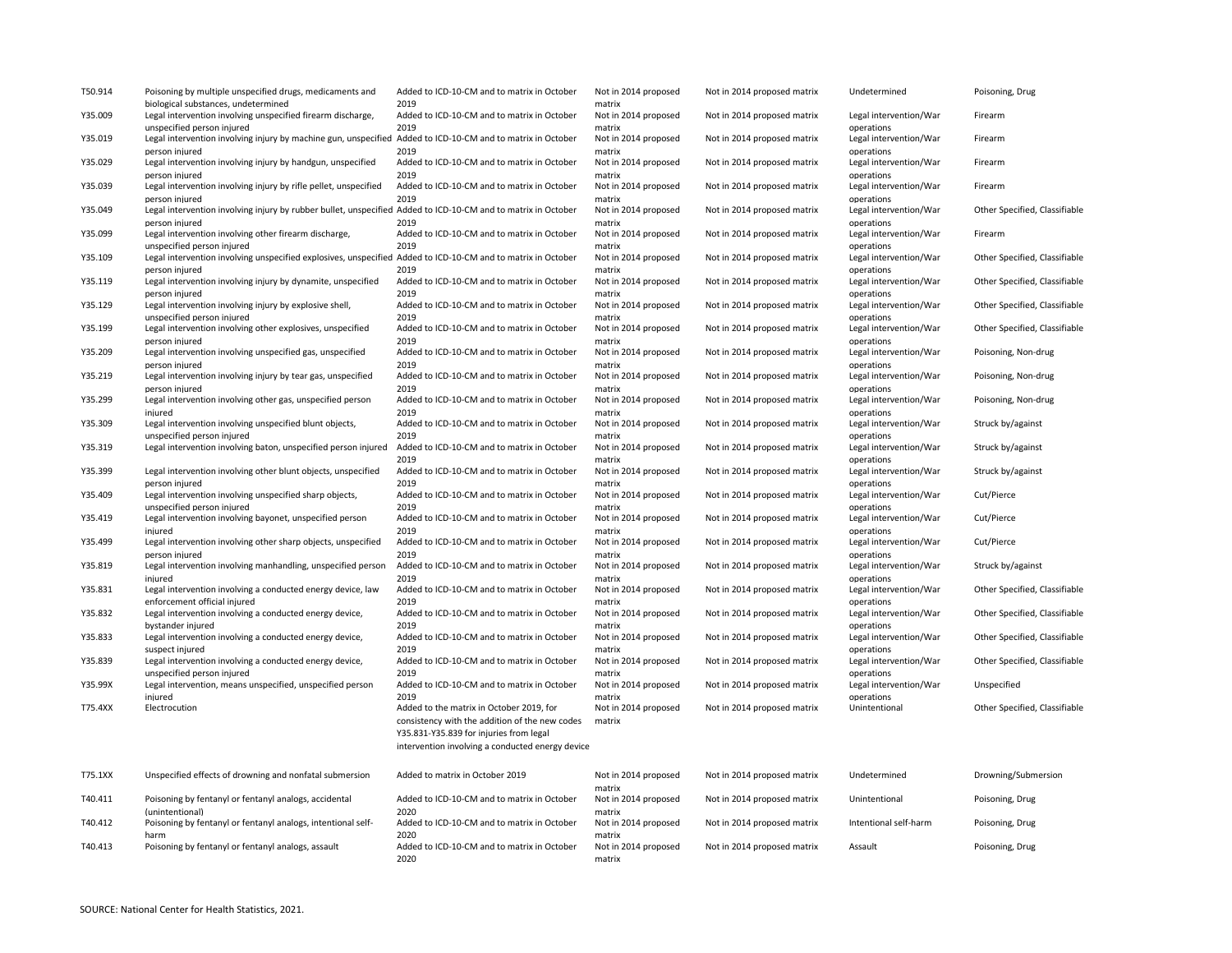| T50.914 | Poisoning by multiple unspecified drugs, medicaments and                                                                                   | Added to ICD-10-CM and to matrix in October                                                                                                                                               | Not in 2014 proposed                     | Not in 2014 proposed matrix | Undetermined                                       | Poisoning, Drug               |
|---------|--------------------------------------------------------------------------------------------------------------------------------------------|-------------------------------------------------------------------------------------------------------------------------------------------------------------------------------------------|------------------------------------------|-----------------------------|----------------------------------------------------|-------------------------------|
| Y35.009 | biological substances, undetermined<br>Legal intervention involving unspecified firearm discharge,                                         | 2019<br>Added to ICD-10-CM and to matrix in October                                                                                                                                       | matrix<br>Not in 2014 proposed           | Not in 2014 proposed matrix | Legal intervention/War                             | Firearm                       |
| Y35.019 | unspecified person injured<br>Legal intervention involving injury by machine gun, unspecified Added to ICD-10-CM and to matrix in October  | 2019                                                                                                                                                                                      | matrix<br>Not in 2014 proposed           | Not in 2014 proposed matrix | operations<br>Legal intervention/War               | Firearm                       |
| Y35.029 | person injured<br>Legal intervention involving injury by handgun, unspecified                                                              | 2019<br>Added to ICD-10-CM and to matrix in October                                                                                                                                       | matrix<br>Not in 2014 proposed           | Not in 2014 proposed matrix | operations<br>Legal intervention/War               | Firearm                       |
| Y35.039 | person injured<br>Legal intervention involving injury by rifle pellet, unspecified                                                         | 2019<br>Added to ICD-10-CM and to matrix in October                                                                                                                                       | matrix<br>Not in 2014 proposed           | Not in 2014 proposed matrix | operations<br>Legal intervention/War               | Firearm                       |
| Y35.049 | person injured<br>Legal intervention involving injury by rubber bullet, unspecified Added to ICD-10-CM and to matrix in October            | 2019                                                                                                                                                                                      | matrix<br>Not in 2014 proposed           | Not in 2014 proposed matrix | operations<br>Legal intervention/War               | Other Specified, Classifiable |
| Y35.099 | person injured<br>Legal intervention involving other firearm discharge,                                                                    | 2019<br>Added to ICD-10-CM and to matrix in October                                                                                                                                       | matrix<br>Not in 2014 proposed           | Not in 2014 proposed matrix | operations<br>Legal intervention/War               | Firearm                       |
| Y35.109 | unspecified person injured<br>Legal intervention involving unspecified explosives, unspecified Added to ICD-10-CM and to matrix in October | 2019                                                                                                                                                                                      | matrix<br>Not in 2014 proposed           | Not in 2014 proposed matrix | operations<br>Legal intervention/War               | Other Specified, Classifiable |
| Y35.119 | person injured<br>Legal intervention involving injury by dynamite, unspecified                                                             | 2019<br>Added to ICD-10-CM and to matrix in October                                                                                                                                       | matrix<br>Not in 2014 proposed           | Not in 2014 proposed matrix | operations<br>Legal intervention/War               | Other Specified, Classifiable |
| Y35.129 | person injured<br>Legal intervention involving injury by explosive shell,                                                                  | 2019<br>Added to ICD-10-CM and to matrix in October                                                                                                                                       | matrix<br>Not in 2014 proposed           | Not in 2014 proposed matrix | operations<br>Legal intervention/War               | Other Specified, Classifiable |
| Y35.199 | unspecified person injured<br>Legal intervention involving other explosives, unspecified                                                   | 2019<br>Added to ICD-10-CM and to matrix in October                                                                                                                                       | matrix<br>Not in 2014 proposed           | Not in 2014 proposed matrix | operations<br>Legal intervention/War               | Other Specified, Classifiable |
| Y35.209 | person injured<br>Legal intervention involving unspecified gas, unspecified                                                                | 2019<br>Added to ICD-10-CM and to matrix in October                                                                                                                                       | matrix<br>Not in 2014 proposed           | Not in 2014 proposed matrix | operations<br>Legal intervention/War               | Poisoning, Non-drug           |
| Y35.219 | person injured<br>Legal intervention involving injury by tear gas, unspecified<br>person injured                                           | 2019<br>Added to ICD-10-CM and to matrix in October<br>2019                                                                                                                               | matrix<br>Not in 2014 proposed           | Not in 2014 proposed matrix | operations<br>Legal intervention/War               | Poisoning, Non-drug           |
| Y35.299 | Legal intervention involving other gas, unspecified person<br>injured                                                                      | Added to ICD-10-CM and to matrix in October<br>2019                                                                                                                                       | matrix<br>Not in 2014 proposed<br>matrix | Not in 2014 proposed matrix | operations<br>Legal intervention/War<br>operations | Poisoning, Non-drug           |
| Y35.309 | Legal intervention involving unspecified blunt objects,<br>unspecified person injured                                                      | Added to ICD-10-CM and to matrix in October<br>2019                                                                                                                                       | Not in 2014 proposed<br>matrix           | Not in 2014 proposed matrix | Legal intervention/War<br>operations               | Struck by/against             |
| Y35.319 | Legal intervention involving baton, unspecified person injured                                                                             | Added to ICD-10-CM and to matrix in October<br>2019                                                                                                                                       | Not in 2014 proposed<br>matrix           | Not in 2014 proposed matrix | Legal intervention/War<br>operations               | Struck by/against             |
| Y35.399 | Legal intervention involving other blunt objects, unspecified<br>person injured                                                            | Added to ICD-10-CM and to matrix in October<br>2019                                                                                                                                       | Not in 2014 proposed<br>matrix           | Not in 2014 proposed matrix | Legal intervention/War<br>operations               | Struck by/against             |
| Y35.409 | Legal intervention involving unspecified sharp objects,<br>unspecified person injured                                                      | Added to ICD-10-CM and to matrix in October<br>2019                                                                                                                                       | Not in 2014 proposed<br>matrix           | Not in 2014 proposed matrix | Legal intervention/War<br>operations               | Cut/Pierce                    |
| Y35.419 | Legal intervention involving bayonet, unspecified person<br>injured                                                                        | Added to ICD-10-CM and to matrix in October<br>2019                                                                                                                                       | Not in 2014 proposed<br>matrix           | Not in 2014 proposed matrix | Legal intervention/War<br>operations               | Cut/Pierce                    |
| Y35.499 | Legal intervention involving other sharp objects, unspecified<br>person injured                                                            | Added to ICD-10-CM and to matrix in October<br>2019                                                                                                                                       | Not in 2014 proposed<br>matrix           | Not in 2014 proposed matrix | Legal intervention/War<br>operations               | Cut/Pierce                    |
| Y35.819 | Legal intervention involving manhandling, unspecified person<br>injured                                                                    | Added to ICD-10-CM and to matrix in October<br>2019                                                                                                                                       | Not in 2014 proposed<br>matrix           | Not in 2014 proposed matrix | Legal intervention/War<br>operations               | Struck by/against             |
| Y35.831 | Legal intervention involving a conducted energy device, law<br>enforcement official injured                                                | Added to ICD-10-CM and to matrix in October<br>2019                                                                                                                                       | Not in 2014 proposed<br>matrix           | Not in 2014 proposed matrix | Legal intervention/War<br>operations               | Other Specified, Classifiable |
| Y35.832 | Legal intervention involving a conducted energy device,<br>bystander injured                                                               | Added to ICD-10-CM and to matrix in October<br>2019                                                                                                                                       | Not in 2014 proposed<br>matrix           | Not in 2014 proposed matrix | Legal intervention/War<br>operations               | Other Specified, Classifiable |
| Y35.833 | Legal intervention involving a conducted energy device,<br>suspect injured                                                                 | Added to ICD-10-CM and to matrix in October<br>2019                                                                                                                                       | Not in 2014 proposed<br>matrix           | Not in 2014 proposed matrix | Legal intervention/War<br>operations               | Other Specified, Classifiable |
| Y35.839 | Legal intervention involving a conducted energy device,<br>unspecified person injured                                                      | Added to ICD-10-CM and to matrix in October<br>2019                                                                                                                                       | Not in 2014 proposed<br>matrix           | Not in 2014 proposed matrix | Legal intervention/War<br>operations               | Other Specified, Classifiable |
| Y35.99X | Legal intervention, means unspecified, unspecified person<br>injured                                                                       | Added to ICD-10-CM and to matrix in October<br>2019                                                                                                                                       | Not in 2014 proposed<br>matrix           | Not in 2014 proposed matrix | Legal intervention/War<br>operations               | Unspecified                   |
| T75.4XX | Electrocution                                                                                                                              | Added to the matrix in October 2019, for<br>consistency with the addition of the new codes<br>Y35.831-Y35.839 for injuries from legal<br>intervention involving a conducted energy device | Not in 2014 proposed<br>matrix           | Not in 2014 proposed matrix | Unintentional                                      | Other Specified, Classifiable |
| T75.1XX | Unspecified effects of drowning and nonfatal submersion                                                                                    | Added to matrix in October 2019                                                                                                                                                           | Not in 2014 proposed                     | Not in 2014 proposed matrix | Undetermined                                       | Drowning/Submersion           |
| T40.411 | Poisoning by fentanyl or fentanyl analogs, accidental<br>(unintentional)                                                                   | Added to ICD-10-CM and to matrix in October<br>2020                                                                                                                                       | matrix<br>Not in 2014 proposed<br>matrix | Not in 2014 proposed matrix | Unintentional                                      | Poisoning, Drug               |
| T40.412 | Poisoning by fentanyl or fentanyl analogs, intentional self-<br>harm                                                                       | Added to ICD-10-CM and to matrix in October<br>2020                                                                                                                                       | Not in 2014 proposed<br>matrix           | Not in 2014 proposed matrix | Intentional self-harm                              | Poisoning, Drug               |
| T40.413 | Poisoning by fentanyl or fentanyl analogs, assault                                                                                         | Added to ICD-10-CM and to matrix in October<br>2020                                                                                                                                       | Not in 2014 proposed<br>matrix           | Not in 2014 proposed matrix | Assault                                            | Poisoning, Drug               |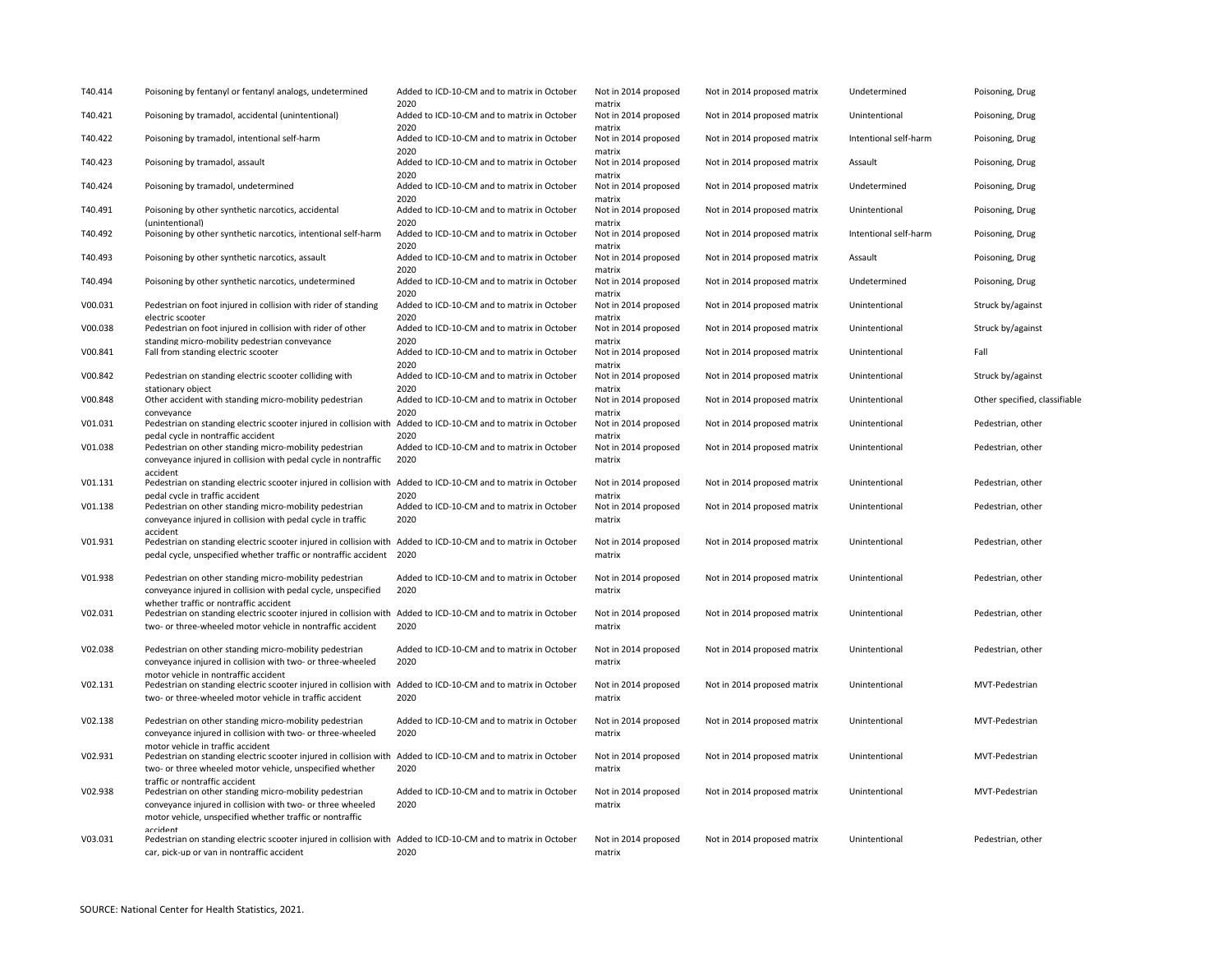| T40.414 | Poisoning by fentanyl or fentanyl analogs, undetermined                                                                                                                                                                             | Added to ICD-10-CM and to matrix in October<br>2020 | Not in 2014 proposed<br>matrix | Not in 2014 proposed matrix | Undetermined          | Poisoning, Drug               |
|---------|-------------------------------------------------------------------------------------------------------------------------------------------------------------------------------------------------------------------------------------|-----------------------------------------------------|--------------------------------|-----------------------------|-----------------------|-------------------------------|
| T40.421 | Poisoning by tramadol, accidental (unintentional)                                                                                                                                                                                   | Added to ICD-10-CM and to matrix in October<br>2020 | Not in 2014 proposed<br>matrix | Not in 2014 proposed matrix | Unintentional         | Poisoning, Drug               |
| T40.422 | Poisoning by tramadol, intentional self-harm                                                                                                                                                                                        | Added to ICD-10-CM and to matrix in October<br>2020 | Not in 2014 proposed<br>matrix | Not in 2014 proposed matrix | Intentional self-harm | Poisoning, Drug               |
| T40.423 | Poisoning by tramadol, assault                                                                                                                                                                                                      | Added to ICD-10-CM and to matrix in October<br>2020 | Not in 2014 proposed<br>matrix | Not in 2014 proposed matrix | Assault               | Poisoning, Drug               |
| T40.424 | Poisoning by tramadol, undetermined                                                                                                                                                                                                 | Added to ICD-10-CM and to matrix in October<br>2020 | Not in 2014 proposed<br>matrix | Not in 2014 proposed matrix | Undetermined          | Poisoning, Drug               |
| T40.491 | Poisoning by other synthetic narcotics, accidental<br>(unintentional)                                                                                                                                                               | Added to ICD-10-CM and to matrix in October<br>2020 | Not in 2014 proposed<br>matrix | Not in 2014 proposed matrix | Unintentional         | Poisoning, Drug               |
| T40.492 | Poisoning by other synthetic narcotics, intentional self-harm                                                                                                                                                                       | Added to ICD-10-CM and to matrix in October<br>2020 | Not in 2014 proposed<br>matrix | Not in 2014 proposed matrix | Intentional self-harm | Poisoning, Drug               |
| T40.493 | Poisoning by other synthetic narcotics, assault                                                                                                                                                                                     | Added to ICD-10-CM and to matrix in October<br>2020 | Not in 2014 proposed<br>matrix | Not in 2014 proposed matrix | Assault               | Poisoning, Drug               |
| T40.494 | Poisoning by other synthetic narcotics, undetermined                                                                                                                                                                                | Added to ICD-10-CM and to matrix in October<br>2020 | Not in 2014 proposed<br>matrix | Not in 2014 proposed matrix | Undetermined          | Poisoning, Drug               |
| V00.031 | Pedestrian on foot injured in collision with rider of standing<br>electric scooter                                                                                                                                                  | Added to ICD-10-CM and to matrix in October<br>2020 | Not in 2014 proposed<br>matrix | Not in 2014 proposed matrix | Unintentional         | Struck by/against             |
| V00.038 | Pedestrian on foot injured in collision with rider of other<br>standing micro-mobility pedestrian conveyance                                                                                                                        | Added to ICD-10-CM and to matrix in October<br>2020 | Not in 2014 proposed<br>matrix | Not in 2014 proposed matrix | Unintentional         | Struck by/against             |
| V00.841 | Fall from standing electric scooter                                                                                                                                                                                                 | Added to ICD-10-CM and to matrix in October<br>2020 | Not in 2014 proposed<br>matrix | Not in 2014 proposed matrix | Unintentional         | Fall                          |
| V00.842 | Pedestrian on standing electric scooter colliding with<br>stationary object                                                                                                                                                         | Added to ICD-10-CM and to matrix in October<br>2020 | Not in 2014 proposed<br>matrix | Not in 2014 proposed matrix | Unintentional         | Struck by/against             |
| V00.848 | Other accident with standing micro-mobility pedestrian<br>conveyance                                                                                                                                                                | Added to ICD-10-CM and to matrix in October<br>2020 | Not in 2014 proposed<br>matrix | Not in 2014 proposed matrix | Unintentional         | Other specified, classifiable |
| V01.031 | Pedestrian on standing electric scooter injured in collision with Added to ICD-10-CM and to matrix in October<br>pedal cycle in nontraffic accident                                                                                 | 2020                                                | Not in 2014 proposed<br>matrix | Not in 2014 proposed matrix | Unintentional         | Pedestrian, other             |
| V01.038 | Pedestrian on other standing micro-mobility pedestrian<br>conveyance injured in collision with pedal cycle in nontraffic<br>accident                                                                                                | Added to ICD-10-CM and to matrix in October<br>2020 | Not in 2014 proposed<br>matrix | Not in 2014 proposed matrix | Unintentional         | Pedestrian, other             |
| V01.131 | Pedestrian on standing electric scooter injured in collision with Added to ICD-10-CM and to matrix in October<br>pedal cycle in traffic accident                                                                                    | 2020                                                | Not in 2014 proposed<br>matrix | Not in 2014 proposed matrix | Unintentional         | Pedestrian, other             |
| V01.138 | Pedestrian on other standing micro-mobility pedestrian<br>conveyance injured in collision with pedal cycle in traffic                                                                                                               | Added to ICD-10-CM and to matrix in October<br>2020 | Not in 2014 proposed<br>matrix | Not in 2014 proposed matrix | Unintentional         | Pedestrian, other             |
| V01.931 | accident<br>Pedestrian on standing electric scooter injured in collision with Added to ICD-10-CM and to matrix in October<br>pedal cycle, unspecified whether traffic or nontraffic accident 2020                                   |                                                     | Not in 2014 proposed<br>matrix | Not in 2014 proposed matrix | Unintentional         | Pedestrian, other             |
| V01.938 | Pedestrian on other standing micro-mobility pedestrian<br>conveyance injured in collision with pedal cycle, unspecified                                                                                                             | Added to ICD-10-CM and to matrix in October<br>2020 | Not in 2014 proposed<br>matrix | Not in 2014 proposed matrix | Unintentional         | Pedestrian, other             |
| V02.031 | whether traffic or nontraffic accident<br>Pedestrian on standing electric scooter injured in collision with Added to ICD-10-CM and to matrix in October<br>two- or three-wheeled motor vehicle in nontraffic accident               | 2020                                                | Not in 2014 proposed<br>matrix | Not in 2014 proposed matrix | Unintentional         | Pedestrian, other             |
| V02.038 | Pedestrian on other standing micro-mobility pedestrian<br>conveyance injured in collision with two- or three-wheeled                                                                                                                | Added to ICD-10-CM and to matrix in October<br>2020 | Not in 2014 proposed<br>matrix | Not in 2014 proposed matrix | Unintentional         | Pedestrian, other             |
| V02.131 | motor vehicle in nontraffic accident<br>Pedestrian on standing electric scooter injured in collision with Added to ICD-10-CM and to matrix in October<br>two- or three-wheeled motor vehicle in traffic accident                    | 2020                                                | Not in 2014 proposed<br>matrix | Not in 2014 proposed matrix | Unintentional         | MVT-Pedestrian                |
| V02.138 | Pedestrian on other standing micro-mobility pedestrian<br>conveyance injured in collision with two- or three-wheeled                                                                                                                | Added to ICD-10-CM and to matrix in October<br>2020 | Not in 2014 proposed<br>matrix | Not in 2014 proposed matrix | Unintentional         | MVT-Pedestrian                |
| V02.931 | motor vehicle in traffic accident<br>Pedestrian on standing electric scooter injured in collision with Added to ICD-10-CM and to matrix in October<br>two- or three wheeled motor vehicle, unspecified whether                      | 2020                                                | Not in 2014 proposed<br>matrix | Not in 2014 proposed matrix | Unintentional         | MVT-Pedestrian                |
| V02.938 | traffic or nontraffic accident<br>Pedestrian on other standing micro-mobility pedestrian<br>conveyance injured in collision with two- or three wheeled                                                                              | Added to ICD-10-CM and to matrix in October<br>2020 | Not in 2014 proposed<br>matrix | Not in 2014 proposed matrix | Unintentional         | MVT-Pedestrian                |
| V03.031 | motor vehicle, unspecified whether traffic or nontraffic<br>accident<br>Pedestrian on standing electric scooter injured in collision with Added to ICD-10-CM and to matrix in October<br>car, pick-up or van in nontraffic accident | 2020                                                | Not in 2014 proposed<br>matrix | Not in 2014 proposed matrix | Unintentional         | Pedestrian, other             |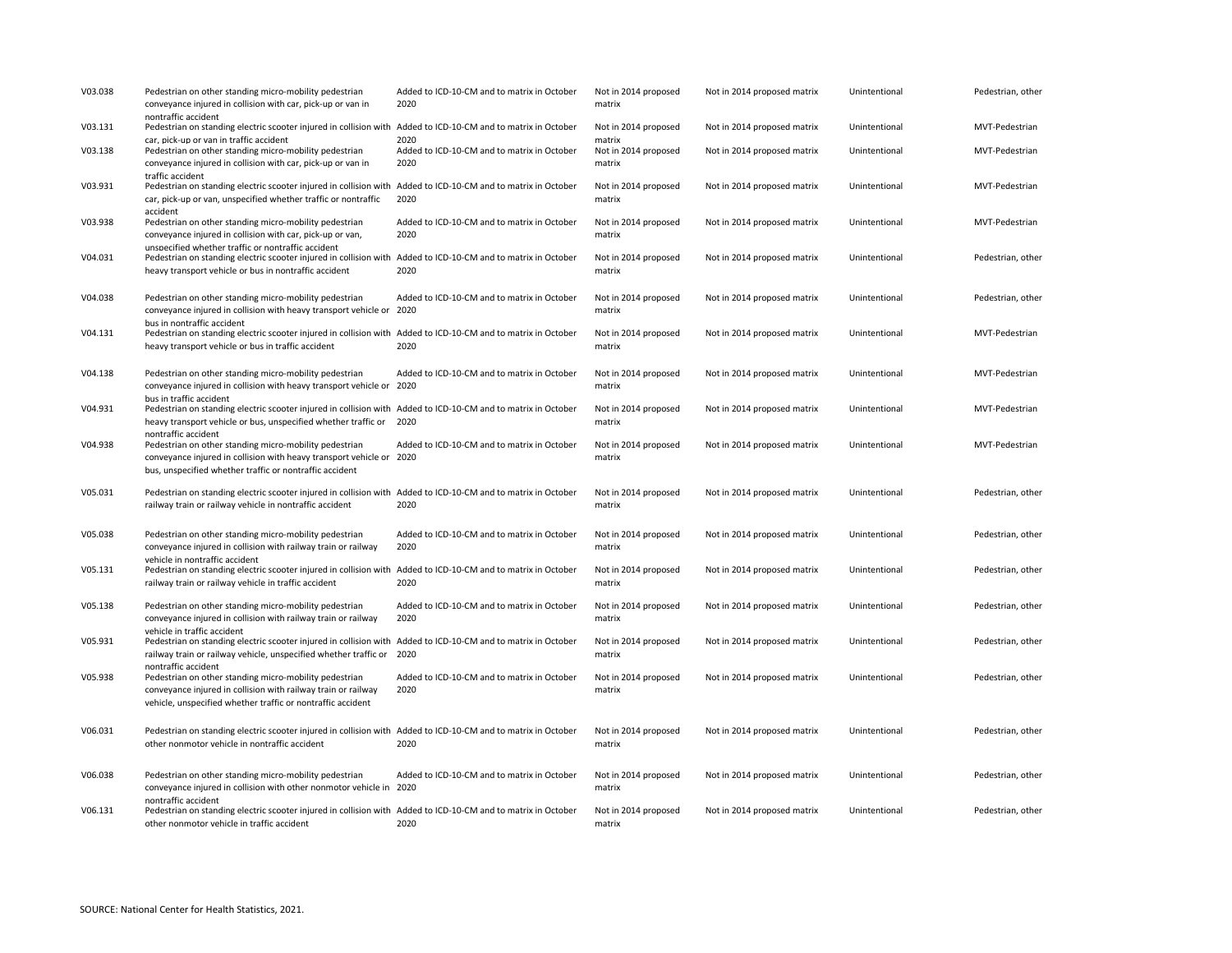| V03.038 | Pedestrian on other standing micro-mobility pedestrian<br>conveyance injured in collision with car, pick-up or van in                                                                                                        | Added to ICD-10-CM and to matrix in October<br>2020         | Not in 2014 proposed<br>matrix           | Not in 2014 proposed matrix | Unintentional | Pedestrian, other |
|---------|------------------------------------------------------------------------------------------------------------------------------------------------------------------------------------------------------------------------------|-------------------------------------------------------------|------------------------------------------|-----------------------------|---------------|-------------------|
| V03.131 | nontraffic accident<br>Pedestrian on standing electric scooter injured in collision with Added to ICD-10-CM and to matrix in October                                                                                         |                                                             | Not in 2014 proposed                     | Not in 2014 proposed matrix | Unintentional | MVT-Pedestrian    |
| V03.138 | car, pick-up or van in traffic accident<br>Pedestrian on other standing micro-mobility pedestrian<br>conveyance injured in collision with car, pick-up or van in                                                             | 2020<br>Added to ICD-10-CM and to matrix in October<br>2020 | matrix<br>Not in 2014 proposed<br>matrix | Not in 2014 proposed matrix | Unintentional | MVT-Pedestrian    |
| V03.931 | traffic accident<br>Pedestrian on standing electric scooter injured in collision with<br>car, pick-up or van, unspecified whether traffic or nontraffic                                                                      | Added to ICD-10-CM and to matrix in October<br>2020         | Not in 2014 proposed<br>matrix           | Not in 2014 proposed matrix | Unintentional | MVT-Pedestrian    |
| V03.938 | accident<br>Pedestrian on other standing micro-mobility pedestrian<br>conveyance injured in collision with car, pick-up or van,                                                                                              | Added to ICD-10-CM and to matrix in October<br>2020         | Not in 2014 proposed<br>matrix           | Not in 2014 proposed matrix | Unintentional | MVT-Pedestrian    |
| V04.031 | unspecified whether traffic or nontraffic accident<br>Pedestrian on standing electric scooter injured in collision with Added to ICD-10-CM and to matrix in October<br>heavy transport vehicle or bus in nontraffic accident | 2020                                                        | Not in 2014 proposed<br>matrix           | Not in 2014 proposed matrix | Unintentional | Pedestrian, other |
| V04.038 | Pedestrian on other standing micro-mobility pedestrian<br>conveyance injured in collision with heavy transport vehicle or 2020                                                                                               | Added to ICD-10-CM and to matrix in October                 | Not in 2014 proposed<br>matrix           | Not in 2014 proposed matrix | Unintentional | Pedestrian, other |
| V04.131 | bus in nontraffic accident<br>Pedestrian on standing electric scooter injured in collision with Added to ICD-10-CM and to matrix in October<br>heavy transport vehicle or bus in traffic accident                            | 2020                                                        | Not in 2014 proposed<br>matrix           | Not in 2014 proposed matrix | Unintentional | MVT-Pedestrian    |
| V04.138 | Pedestrian on other standing micro-mobility pedestrian<br>conveyance injured in collision with heavy transport vehicle or 2020                                                                                               | Added to ICD-10-CM and to matrix in October                 | Not in 2014 proposed<br>matrix           | Not in 2014 proposed matrix | Unintentional | MVT-Pedestrian    |
| V04.931 | bus in traffic accident<br>Pedestrian on standing electric scooter injured in collision with Added to ICD-10-CM and to matrix in October<br>heavy transport vehicle or bus, unspecified whether traffic or                   | 2020                                                        | Not in 2014 proposed<br>matrix           | Not in 2014 proposed matrix | Unintentional | MVT-Pedestrian    |
| V04.938 | nontraffic accident<br>Pedestrian on other standing micro-mobility pedestrian<br>conveyance injured in collision with heavy transport vehicle or 2020<br>bus, unspecified whether traffic or nontraffic accident             | Added to ICD-10-CM and to matrix in October                 | Not in 2014 proposed<br>matrix           | Not in 2014 proposed matrix | Unintentional | MVT-Pedestrian    |
| V05.031 | Pedestrian on standing electric scooter injured in collision with Added to ICD-10-CM and to matrix in October<br>railway train or railway vehicle in nontraffic accident                                                     | 2020                                                        | Not in 2014 proposed<br>matrix           | Not in 2014 proposed matrix | Unintentional | Pedestrian, other |
| V05.038 | Pedestrian on other standing micro-mobility pedestrian<br>conveyance injured in collision with railway train or railway                                                                                                      | Added to ICD-10-CM and to matrix in October<br>2020         | Not in 2014 proposed<br>matrix           | Not in 2014 proposed matrix | Unintentional | Pedestrian, other |
| V05.131 | vehicle in nontraffic accident<br>Pedestrian on standing electric scooter injured in collision with<br>railway train or railway vehicle in traffic accident                                                                  | Added to ICD-10-CM and to matrix in October<br>2020         | Not in 2014 proposed<br>matrix           | Not in 2014 proposed matrix | Unintentional | Pedestrian, other |
| V05.138 | Pedestrian on other standing micro-mobility pedestrian<br>conveyance injured in collision with railway train or railway                                                                                                      | Added to ICD-10-CM and to matrix in October<br>2020         | Not in 2014 proposed<br>matrix           | Not in 2014 proposed matrix | Unintentional | Pedestrian, other |
| V05.931 | vehicle in traffic accident<br>Pedestrian on standing electric scooter injured in collision with<br>railway train or railway vehicle, unspecified whether traffic or                                                         | Added to ICD-10-CM and to matrix in October<br>2020         | Not in 2014 proposed<br>matrix           | Not in 2014 proposed matrix | Unintentional | Pedestrian, other |
| V05.938 | nontraffic accident<br>Pedestrian on other standing micro-mobility pedestrian<br>conveyance injured in collision with railway train or railway<br>vehicle, unspecified whether traffic or nontraffic accident                | Added to ICD-10-CM and to matrix in October<br>2020         | Not in 2014 proposed<br>matrix           | Not in 2014 proposed matrix | Unintentional | Pedestrian, other |
| V06.031 | Pedestrian on standing electric scooter injured in collision with Added to ICD-10-CM and to matrix in October<br>other nonmotor vehicle in nontraffic accident                                                               | 2020                                                        | Not in 2014 proposed<br>matrix           | Not in 2014 proposed matrix | Unintentional | Pedestrian, other |
| V06.038 | Pedestrian on other standing micro-mobility pedestrian<br>conveyance injured in collision with other nonmotor vehicle in 2020                                                                                                | Added to ICD-10-CM and to matrix in October                 | Not in 2014 proposed<br>matrix           | Not in 2014 proposed matrix | Unintentional | Pedestrian, other |
| V06.131 | nontraffic accident<br>Pedestrian on standing electric scooter injured in collision with Added to ICD-10-CM and to matrix in October<br>other nonmotor vehicle in traffic accident                                           | 2020                                                        | Not in 2014 proposed<br>matrix           | Not in 2014 proposed matrix | Unintentional | Pedestrian, other |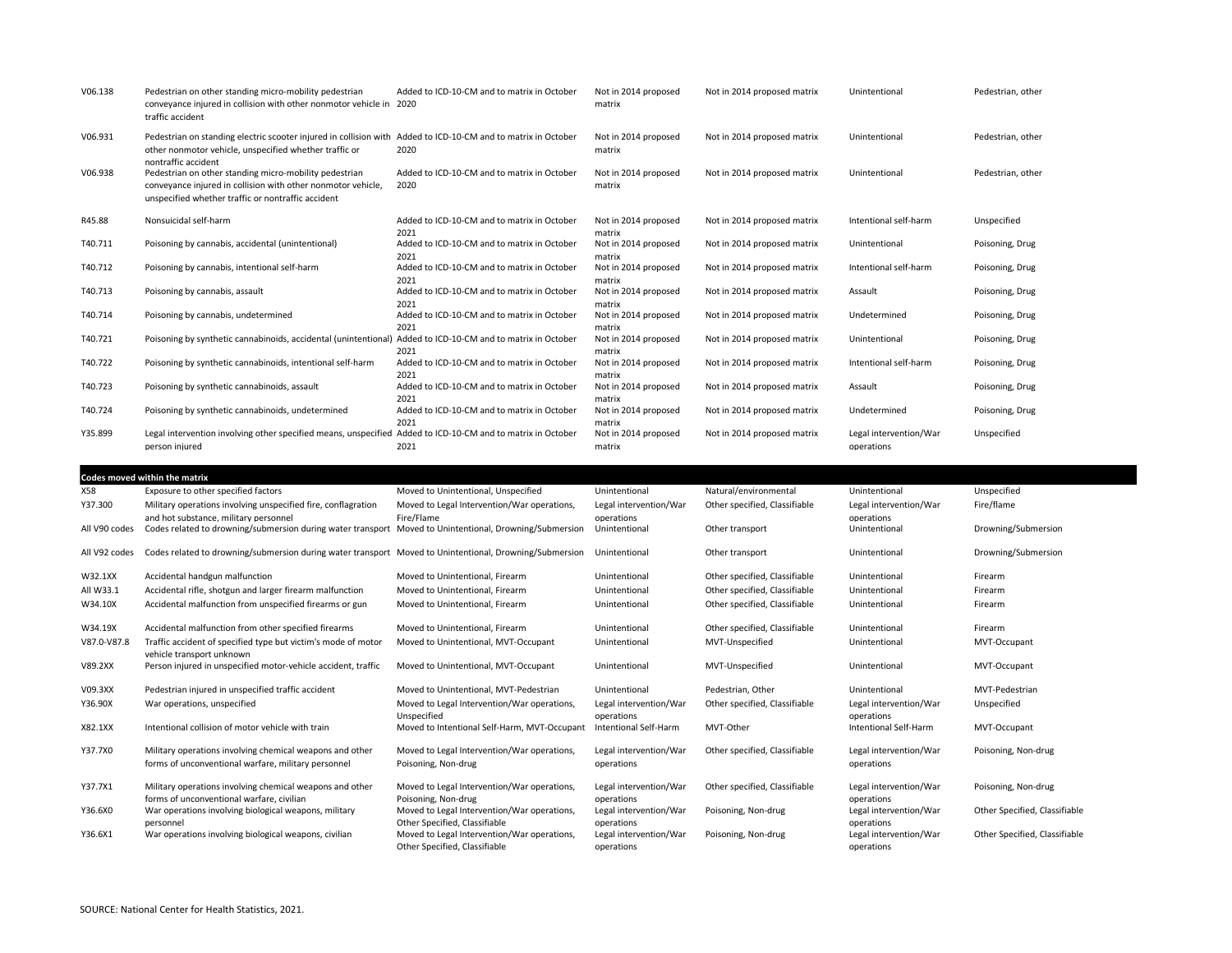| V06.138 | Pedestrian on other standing micro-mobility pedestrian<br>conveyance injured in collision with other nonmotor vehicle in<br>traffic accident                                                   | Added to ICD-10-CM and to matrix in October<br>2020 | Not in 2014 proposed<br>matrix | Not in 2014 proposed matrix | Unintentional                        | Pedestrian, other |
|---------|------------------------------------------------------------------------------------------------------------------------------------------------------------------------------------------------|-----------------------------------------------------|--------------------------------|-----------------------------|--------------------------------------|-------------------|
| V06.931 | Pedestrian on standing electric scooter injured in collision with Added to ICD-10-CM and to matrix in October<br>other nonmotor vehicle, unspecified whether traffic or<br>nontraffic accident | 2020                                                | Not in 2014 proposed<br>matrix | Not in 2014 proposed matrix | Unintentional                        | Pedestrian, other |
| V06.938 | Pedestrian on other standing micro-mobility pedestrian<br>conveyance injured in collision with other nonmotor vehicle,<br>unspecified whether traffic or nontraffic accident                   | Added to ICD-10-CM and to matrix in October<br>2020 | Not in 2014 proposed<br>matrix | Not in 2014 proposed matrix | Unintentional                        | Pedestrian, other |
| R45.88  | Nonsuicidal self-harm                                                                                                                                                                          | Added to ICD-10-CM and to matrix in October<br>2021 | Not in 2014 proposed<br>matrix | Not in 2014 proposed matrix | Intentional self-harm                | Unspecified       |
| T40.711 | Poisoning by cannabis, accidental (unintentional)                                                                                                                                              | Added to ICD-10-CM and to matrix in October<br>2021 | Not in 2014 proposed<br>matrix | Not in 2014 proposed matrix | Unintentional                        | Poisoning, Drug   |
| T40.712 | Poisoning by cannabis, intentional self-harm                                                                                                                                                   | Added to ICD-10-CM and to matrix in October<br>2021 | Not in 2014 proposed<br>matrix | Not in 2014 proposed matrix | Intentional self-harm                | Poisoning, Drug   |
| T40.713 | Poisoning by cannabis, assault                                                                                                                                                                 | Added to ICD-10-CM and to matrix in October<br>2021 | Not in 2014 proposed<br>matrix | Not in 2014 proposed matrix | Assault                              | Poisoning, Drug   |
| T40.714 | Poisoning by cannabis, undetermined                                                                                                                                                            | Added to ICD-10-CM and to matrix in October<br>2021 | Not in 2014 proposed<br>matrix | Not in 2014 proposed matrix | Undetermined                         | Poisoning, Drug   |
| T40.721 | Poisoning by synthetic cannabinoids, accidental (unintentional)                                                                                                                                | Added to ICD-10-CM and to matrix in October<br>2021 | Not in 2014 proposed<br>matrix | Not in 2014 proposed matrix | Unintentional                        | Poisoning, Drug   |
| T40.722 | Poisoning by synthetic cannabinoids, intentional self-harm                                                                                                                                     | Added to ICD-10-CM and to matrix in October<br>2021 | Not in 2014 proposed<br>matrix | Not in 2014 proposed matrix | Intentional self-harm                | Poisoning, Drug   |
| T40.723 | Poisoning by synthetic cannabinoids, assault                                                                                                                                                   | Added to ICD-10-CM and to matrix in October<br>2021 | Not in 2014 proposed<br>matrix | Not in 2014 proposed matrix | Assault                              | Poisoning, Drug   |
| T40.724 | Poisoning by synthetic cannabinoids, undetermined                                                                                                                                              | Added to ICD-10-CM and to matrix in October<br>2021 | Not in 2014 proposed<br>matrix | Not in 2014 proposed matrix | Undetermined                         | Poisoning, Drug   |
| Y35.899 | Legal intervention involving other specified means, unspecified<br>person injured                                                                                                              | Added to ICD-10-CM and to matrix in October<br>2021 | Not in 2014 proposed<br>matrix | Not in 2014 proposed matrix | Legal intervention/War<br>operations | Unspecified       |

|               | Codes moved within the matrix                                                                                   |                                                                              |                                      |                               |                                      |                               |
|---------------|-----------------------------------------------------------------------------------------------------------------|------------------------------------------------------------------------------|--------------------------------------|-------------------------------|--------------------------------------|-------------------------------|
| X58           | Exposure to other specified factors                                                                             | Moved to Unintentional, Unspecified                                          | Unintentional                        | Natural/environmental         | Unintentional                        | Unspecified                   |
| Y37.300       | Military operations involving unspecified fire, conflagration<br>and hot substance, military personnel          | Moved to Legal Intervention/War operations,<br>Fire/Flame                    | Legal intervention/War<br>operations | Other specified, Classifiable | Legal intervention/War<br>operations | Fire/flame                    |
| All V90 codes | Codes related to drowning/submersion during water transport Moved to Unintentional, Drowning/Submersion         |                                                                              | Unintentional                        | Other transport               | Unintentional                        | Drowning/Submersion           |
| All V92 codes | Codes related to drowning/submersion during water transport Moved to Unintentional, Drowning/Submersion         |                                                                              | Unintentional                        | Other transport               | Unintentional                        | Drowning/Submersion           |
| W32.1XX       | Accidental handgun malfunction                                                                                  | Moved to Unintentional, Firearm                                              | Unintentional                        | Other specified, Classifiable | Unintentional                        | Firearm                       |
| All W33.1     | Accidental rifle, shotgun and larger firearm malfunction                                                        | Moved to Unintentional, Firearm                                              | Unintentional                        | Other specified, Classifiable | Unintentional                        | Firearm                       |
| W34.10X       | Accidental malfunction from unspecified firearms or gun                                                         | Moved to Unintentional, Firearm                                              | Unintentional                        | Other specified, Classifiable | Unintentional                        | Firearm                       |
| W34.19X       | Accidental malfunction from other specified firearms                                                            | Moved to Unintentional, Firearm                                              | Unintentional                        | Other specified. Classifiable | Unintentional                        | Firearm                       |
| V87.0-V87.8   | Traffic accident of specified type but victim's mode of motor<br>vehicle transport unknown                      | Moved to Unintentional, MVT-Occupant                                         | Unintentional                        | MVT-Unspecified               | Unintentional                        | MVT-Occupant                  |
| V89.2XX       | Person injured in unspecified motor-vehicle accident, traffic                                                   | Moved to Unintentional, MVT-Occupant                                         | Unintentional                        | MVT-Unspecified               | Unintentional                        | MVT-Occupant                  |
| V09.3XX       | Pedestrian injured in unspecified traffic accident                                                              | Moved to Unintentional, MVT-Pedestrian                                       | Unintentional                        | Pedestrian, Other             | Unintentional                        | MVT-Pedestrian                |
| Y36.90X       | War operations, unspecified                                                                                     | Moved to Legal Intervention/War operations,<br>Unspecified                   | Legal intervention/War<br>operations | Other specified, Classifiable | Legal intervention/War<br>operations | Unspecified                   |
| X82.1XX       | Intentional collision of motor vehicle with train                                                               | Moved to Intentional Self-Harm, MVT-Occupant                                 | Intentional Self-Harm                | MVT-Other                     | Intentional Self-Harm                | MVT-Occupant                  |
| Y37.7X0       | Military operations involving chemical weapons and other<br>forms of unconventional warfare, military personnel | Moved to Legal Intervention/War operations,<br>Poisoning, Non-drug           | Legal intervention/War<br>operations | Other specified, Classifiable | Legal intervention/War<br>operations | Poisoning, Non-drug           |
| Y37.7X1       | Military operations involving chemical weapons and other<br>forms of unconventional warfare, civilian           | Moved to Legal Intervention/War operations,<br>Poisoning, Non-drug           | Legal intervention/War<br>operations | Other specified, Classifiable | Legal intervention/War<br>operations | Poisoning, Non-drug           |
| Y36.6X0       | War operations involving biological weapons, military<br>personnel                                              | Moved to Legal Intervention/War operations,<br>Other Specified, Classifiable | Legal intervention/War<br>operations | Poisoning, Non-drug           | Legal intervention/War<br>operations | Other Specified, Classifiable |
| Y36.6X1       | War operations involving biological weapons, civilian                                                           | Moved to Legal Intervention/War operations,<br>Other Specified, Classifiable | Legal intervention/War<br>operations | Poisoning, Non-drug           | Legal intervention/War<br>operations | Other Specified, Classifiable |